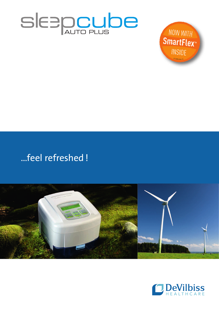



# ...feel refreshed!